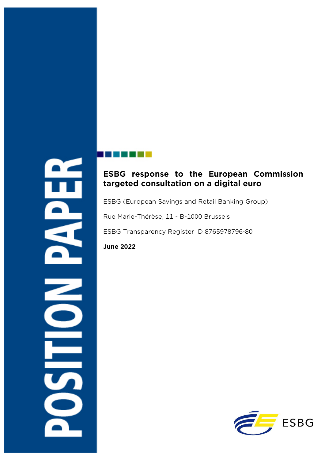# $\overline{\mathbf{z}}$

# **ESBG response to the European Commission targeted consultation on a digital euro**

ESBG (European Savings and Retail Banking Group)

Rue Marie-Thérèse, 11 - B-1000 Brussels

ESBG Transparency Register ID 8765978796-80

**June 2022**

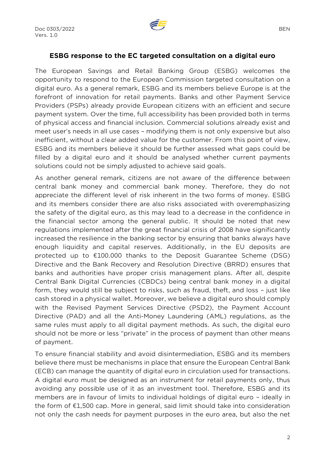

#### **ESBG response to the EC targeted consultation on a digital euro**

The European Savings and Retail Banking Group (ESBG) welcomes the opportunity to respond to the European Commission targeted consultation on a digital euro. As a general remark, ESBG and its members believe Europe is at the forefront of innovation for retail payments. Banks and other Payment Service Providers (PSPs) already provide European citizens with an efficient and secure payment system. Over the time, full accessibility has been provided both in terms of physical access and financial inclusion. Commercial solutions already exist and meet user's needs in all use cases – modifying them is not only expensive but also inefficient, without a clear added value for the customer. From this point of view, ESBG and its members believe it should be further assessed what gaps could be filled by a digital euro and it should be analysed whether current payments solutions could not be simply adjusted to achieve said goals.

As another general remark, citizens are not aware of the difference between central bank money and commercial bank money. Therefore, they do not appreciate the different level of risk inherent in the two forms of money. ESBG and its members consider there are also risks associated with overemphasizing the safety of the digital euro, as this may lead to a decrease in the confidence in the financial sector among the general public. It should be noted that new regulations implemented after the great financial crisis of 2008 have significantly increased the resilience in the banking sector by ensuring that banks always have enough liquidity and capital reserves. Additionally, in the EU deposits are protected up to €100.000 thanks to the Deposit Guarantee Scheme (DSG) Directive and the Bank Recovery and Resolution Directive (BRRD) ensures that banks and authorities have proper crisis management plans. After all, despite Central Bank Digital Currencies (CBDCs) being central bank money in a digital form, they would still be subject to risks, such as fraud, theft, and loss – just like cash stored in a physical wallet. Moreover, we believe a digital euro should comply with the Revised Payment Services Directive (PSD2), the Payment Account Directive (PAD) and all the Anti-Money Laundering (AML) regulations, as the same rules must apply to all digital payment methods. As such, the digital euro should not be more or less "private" in the process of payment than other means of payment.

To ensure financial stability and avoid disintermediation, ESBG and its members believe there must be mechanisms in place that ensure the European Central Bank (ECB) can manage the quantity of digital euro in circulation used for transactions. A digital euro must be designed as an instrument for retail payments only, thus avoiding any possible use of it as an investment tool. Therefore, ESBG and its members are in favour of limits to individual holdings of digital euro – ideally in the form of €1,500 cap. More in general, said limit should take into consideration not only the cash needs for payment purposes in the euro area, but also the net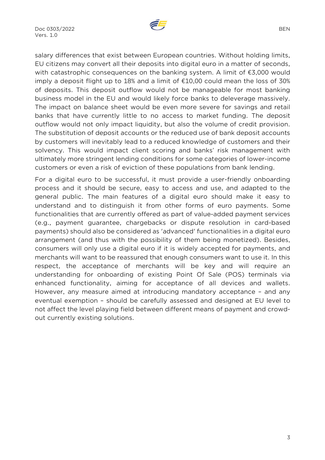

salary differences that exist between European countries. Without holding limits, EU citizens may convert all their deposits into digital euro in a matter of seconds, with catastrophic consequences on the banking system. A limit of €3,000 would imply a deposit flight up to 18% and a limit of  $£10,00$  could mean the loss of 30% of deposits. This deposit outflow would not be manageable for most banking business model in the EU and would likely force banks to deleverage massively. The impact on balance sheet would be even more severe for savings and retail banks that have currently little to no access to market funding. The deposit outflow would not only impact liquidity, but also the volume of credit provision. The substitution of deposit accounts or the reduced use of bank deposit accounts by customers will inevitably lead to a reduced knowledge of customers and their solvency. This would impact client scoring and banks' risk management with ultimately more stringent lending conditions for some categories of lower-income customers or even a risk of eviction of these populations from bank lending.

For a digital euro to be successful, it must provide a user-friendly onboarding process and it should be secure, easy to access and use, and adapted to the general public. The main features of a digital euro should make it easy to understand and to distinguish it from other forms of euro payments. Some functionalities that are currently offered as part of value-added payment services (e.g., payment guarantee, chargebacks or dispute resolution in card-based payments) should also be considered as 'advanced' functionalities in a digital euro arrangement (and thus with the possibility of them being monetized). Besides, consumers will only use a digital euro if it is widely accepted for payments, and merchants will want to be reassured that enough consumers want to use it. In this respect, the acceptance of merchants will be key and will require an understanding for onboarding of existing Point Of Sale (POS) terminals via enhanced functionality, aiming for acceptance of all devices and wallets. However, any measure aimed at introducing mandatory acceptance – and any eventual exemption – should be carefully assessed and designed at EU level to not affect the level playing field between different means of payment and crowdout currently existing solutions.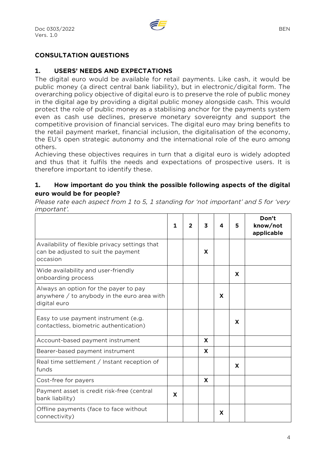

#### **CONSULTATION QUESTIONS**

#### **1. USERS' NEEDS AND EXPECTATIONS**

The digital euro would be available for retail payments. Like cash, it would be public money (a direct central bank liability), but in electronic/digital form. The overarching policy objective of digital euro is to preserve the role of public money in the digital age by providing a digital public money alongside cash. This would protect the role of public money as a stabilising anchor for the payments system even as cash use declines, preserve monetary sovereignty and support the competitive provision of financial services. The digital euro may bring benefits to the retail payment market, financial inclusion, the digitalisation of the economy, the EU's open strategic autonomy and the international role of the euro among others.

Achieving these objectives requires in turn that a digital euro is widely adopted and thus that it fulfils the needs and expectations of prospective users. It is therefore important to identify these.

#### **1. How important do you think the possible following aspects of the digital euro would be for people?**

*Please rate each aspect from 1 to 5, 1 standing for 'not important' and 5 for 'very important'.* 

|                                                                                                        | $\mathbf{1}$ | 2 | 3 | 4 | 5 | Don't<br>know/not<br>applicable |
|--------------------------------------------------------------------------------------------------------|--------------|---|---|---|---|---------------------------------|
| Availability of flexible privacy settings that<br>can be adjusted to suit the payment<br>occasion      |              |   | X |   |   |                                 |
| Wide availability and user-friendly<br>onboarding process                                              |              |   |   |   | X |                                 |
| Always an option for the payer to pay<br>anywhere $/$ to anybody in the euro area with<br>digital euro |              |   |   | X |   |                                 |
| Easy to use payment instrument (e.g.<br>contactless, biometric authentication)                         |              |   |   |   | X |                                 |
| Account-based payment instrument                                                                       |              |   | X |   |   |                                 |
| Bearer-based payment instrument                                                                        |              |   | X |   |   |                                 |
| Real time settlement / Instant reception of<br>funds                                                   |              |   |   |   | X |                                 |
| Cost-free for payers                                                                                   |              |   | X |   |   |                                 |
| Payment asset is credit risk-free (central<br>bank liability)                                          | X            |   |   |   |   |                                 |
| Offline payments (face to face without<br>connectivity)                                                |              |   |   | X |   |                                 |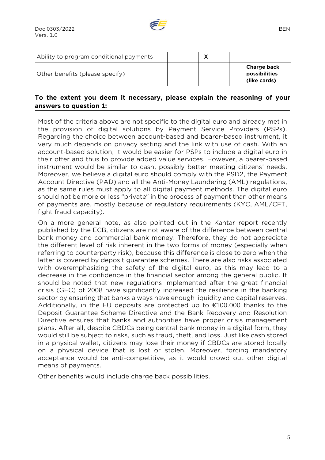| Ability to program conditional payments |  | $\mathbf{v}$<br>Λ |  |                                              |
|-----------------------------------------|--|-------------------|--|----------------------------------------------|
| Other benefits (please specify)         |  |                   |  | Charge back<br>possibilities<br>(like cards) |

#### **To the extent you deem it necessary, please explain the reasoning of your answers to question 1:**

Most of the criteria above are not specific to the digital euro and already met in the provision of digital solutions by Payment Service Providers (PSPs). Regarding the choice between account-based and bearer-based instrument, it very much depends on privacy setting and the link with use of cash. With an account-based solution, it would be easier for PSPs to include a digital euro in their offer and thus to provide added value services. However, a bearer-based instrument would be similar to cash, possibly better meeting citizens' needs. Moreover, we believe a digital euro should comply with the PSD2, the Payment Account Directive (PAD) and all the Anti-Money Laundering (AML) regulations, as the same rules must apply to all digital payment methods. The digital euro should not be more or less "private" in the process of payment than other means of payments are, mostly because of regulatory requirements (KYC, AML/CFT, fight fraud capacity).

On a more general note, as also pointed out in the Kantar report recently published by the ECB, citizens are not aware of the difference between central bank money and commercial bank money. Therefore, they do not appreciate the different level of risk inherent in the two forms of money (especially when referring to counterparty risk), because this difference is close to zero when the latter is covered by deposit guarantee schemes. There are also risks associated with overemphasizing the safety of the digital euro, as this may lead to a decrease in the confidence in the financial sector among the general public. It should be noted that new regulations implemented after the great financial crisis (GFC) of 2008 have significantly increased the resilience in the banking sector by ensuring that banks always have enough liquidity and capital reserves. Additionally, in the EU deposits are protected up to  $\epsilon$ 100.000 thanks to the Deposit Guarantee Scheme Directive and the Bank Recovery and Resolution Directive ensures that banks and authorities have proper crisis management plans. After all, despite CBDCs being central bank money in a digital form, they would still be subject to risks, such as fraud, theft, and loss. Just like cash stored in a physical wallet, citizens may lose their money if CBDCs are stored locally on a physical device that is lost or stolen. Moreover, forcing mandatory acceptance would be anti-competitive, as it would crowd out other digital means of payments.

Other benefits would include charge back possibilities.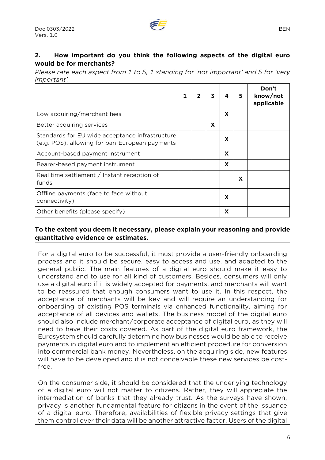# **2. How important do you think the following aspects of the digital euro would be for merchants?**

*Please rate each aspect from 1 to 5, 1 standing for 'not important' and 5 for 'very important'.* 

|                                                                                                   | 1 | 2 | 3 | 4 | 5 | Don't<br>know/not<br>applicable |
|---------------------------------------------------------------------------------------------------|---|---|---|---|---|---------------------------------|
| Low acquiring/merchant fees                                                                       |   |   |   | X |   |                                 |
| Better acquiring services                                                                         |   |   | X |   |   |                                 |
| Standards for EU wide acceptance infrastructure<br>(e.g. POS), allowing for pan-European payments |   |   |   | X |   |                                 |
| Account-based payment instrument                                                                  |   |   |   | X |   |                                 |
| Bearer-based payment instrument                                                                   |   |   |   | X |   |                                 |
| Real time settlement / Instant reception of<br>funds                                              |   |   |   |   | X |                                 |
| Offline payments (face to face without<br>connectivity)                                           |   |   |   | X |   |                                 |
| Other benefits (please specify)                                                                   |   |   |   | X |   |                                 |

## **To the extent you deem it necessary, please explain your reasoning and provide quantitative evidence or estimates.**

For a digital euro to be successful, it must provide a user-friendly onboarding process and it should be secure, easy to access and use, and adapted to the general public. The main features of a digital euro should make it easy to understand and to use for all kind of customers. Besides, consumers will only use a digital euro if it is widely accepted for payments, and merchants will want to be reassured that enough consumers want to use it. In this respect, the acceptance of merchants will be key and will require an understanding for onboarding of existing POS terminals via enhanced functionality, aiming for acceptance of all devices and wallets. The business model of the digital euro should also include merchant/corporate acceptance of digital euro, as they will need to have their costs covered. As part of the digital euro framework, the Eurosystem should carefully determine how businesses would be able to receive payments in digital euro and to implement an efficient procedure for conversion into commercial bank money. Nevertheless, on the acquiring side, new features will have to be developed and it is not conceivable these new services be costfree.

On the consumer side, it should be considered that the underlying technology of a digital euro will not matter to citizens. Rather, they will appreciate the intermediation of banks that they already trust. As the surveys have shown, privacy is another fundamental feature for citizens in the event of the issuance of a digital euro. Therefore, availabilities of flexible privacy settings that give them control over their data will be another attractive factor. Users of the digital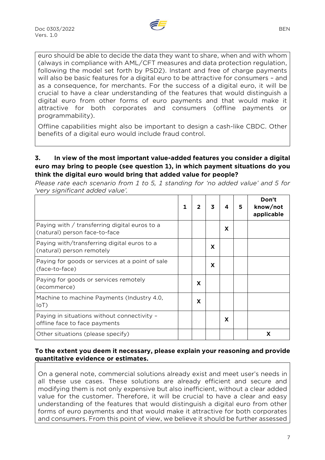

euro should be able to decide the data they want to share, when and with whom (always in compliance with AML/CFT measures and data protection regulation, following the model set forth by PSD2). Instant and free of charge payments will also be basic features for a digital euro to be attractive for consumers – and as a consequence, for merchants. For the success of a digital euro, it will be crucial to have a clear understanding of the features that would distinguish a digital euro from other forms of euro payments and that would make it attractive for both corporates and consumers (offline payments or programmability).

Offline capabilities might also be important to design a cash-like CBDC. Other benefits of a digital euro would include fraud control.

#### **3. In view of the most important value-added features you consider a digital euro may bring to people (see question 1), in which payment situations do you think the digital euro would bring that added value for people?**

*Please rate each scenario from 1 to 5, 1 standing for 'no added value' and 5 for 'very significant added value'.* 

|                                                                                | 1 | 2 | 3 | 4 | 5 | Don't<br>know/not<br>applicable |
|--------------------------------------------------------------------------------|---|---|---|---|---|---------------------------------|
| Paying with / transferring digital euros to a<br>(natural) person face-to-face |   |   |   | X |   |                                 |
| Paying with/transferring digital euros to a<br>(natural) person remotely       |   |   | X |   |   |                                 |
| Paying for goods or services at a point of sale<br>(face-to-face)              |   |   | X |   |   |                                 |
| Paying for goods or services remotely<br>(ecommerce)                           |   | x |   |   |   |                                 |
| Machine to machine Payments (Industry 4.0,<br>IoT)                             |   | X |   |   |   |                                 |
| Paying in situations without connectivity -<br>offline face to face payments   |   |   |   | X |   |                                 |
| Other situations (please specify)                                              |   |   |   |   |   | X                               |

#### **To the extent you deem it necessary, please explain your reasoning and provide quantitative evidence or estimates.**

On a general note, commercial solutions already exist and meet user's needs in all these use cases. These solutions are already efficient and secure and modifying them is not only expensive but also inefficient, without a clear added value for the customer. Therefore, it will be crucial to have a clear and easy understanding of the features that would distinguish a digital euro from other forms of euro payments and that would make it attractive for both corporates and consumers. From this point of view, we believe it should be further assessed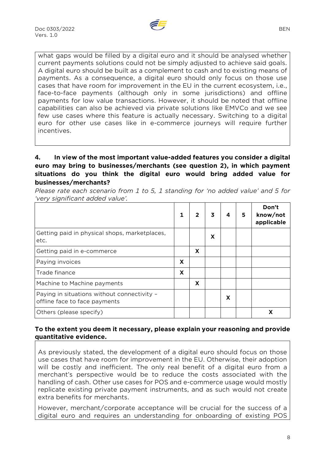

what gaps would be filled by a digital euro and it should be analysed whether current payments solutions could not be simply adjusted to achieve said goals. A digital euro should be built as a complement to cash and to existing means of payments. As a consequence, a digital euro should only focus on those use cases that have room for improvement in the EU in the current ecosystem, i.e., face-to-face payments (although only in some jurisdictions) and offline payments for low value transactions. However, it should be noted that offline capabilities can also be achieved via private solutions like EMVCo and we see few use cases where this feature is actually necessary. Switching to a digital euro for other use cases like in e-commerce journeys will require further incentives.

# **4. In view of the most important value-added features you consider a digital euro may bring to businesses/merchants (see question 2), in which payment situations do you think the digital euro would bring added value for businesses/merchants?**

*Please rate each scenario from 1 to 5, 1 standing for 'no added value' and 5 for 'very significant added value'.* 

|                                                                              |   |   | 3 | 4 | 5 | Don't<br>know/not<br>applicable |
|------------------------------------------------------------------------------|---|---|---|---|---|---------------------------------|
| Getting paid in physical shops, marketplaces,<br>etc.                        |   |   | X |   |   |                                 |
| Getting paid in e-commerce                                                   |   | X |   |   |   |                                 |
| Paying invoices                                                              | X |   |   |   |   |                                 |
| Trade finance                                                                | X |   |   |   |   |                                 |
| Machine to Machine payments                                                  |   | X |   |   |   |                                 |
| Paying in situations without connectivity -<br>offline face to face payments |   |   |   | X |   |                                 |
| Others (please specify)                                                      |   |   |   |   |   |                                 |

#### **To the extent you deem it necessary, please explain your reasoning and provide quantitative evidence.**

As previously stated, the development of a digital euro should focus on those use cases that have room for improvement in the EU. Otherwise, their adoption will be costly and inefficient. The only real benefit of a digital euro from a merchant's perspective would be to reduce the costs associated with the handling of cash. Other use cases for POS and e-commerce usage would mostly replicate existing private payment instruments, and as such would not create extra benefits for merchants.

However, merchant/corporate acceptance will be crucial for the success of a digital euro and requires an understanding for onboarding of existing POS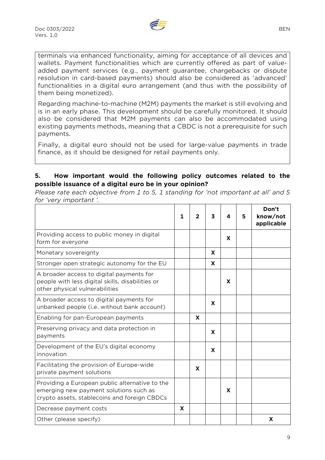

terminals via enhanced functionality, aiming for acceptance of all devices and wallets. Payment functionalities which are currently offered as part of valueadded payment services (e.g., payment guarantee, chargebacks or dispute resolution in card-based payments) should also be considered as 'advanced' functionalities in a digital euro arrangement (and thus with the possibility of them being monetized).

Regarding machine-to-machine (M2M) payments the market is still evolving and is in an early phase. This development should be carefully monitored. It should also be considered that M2M payments can also be accommodated using existing payments methods, meaning that a CBDC is not a prerequisite for such payments.

Finally, a digital euro should not be used for large-value payments in trade finance, as it should be designed for retail payments only.

# **5. How important would the following policy outcomes related to the possible issuance of a digital euro be in your opinion?**

*Please rate each objective from 1 to 5, 1 standing for 'not important at all' and 5 for 'very important '.* 

|                                                                                                                                          | 1 | $\overline{2}$ | 3 | 4 | 5 | Don't<br>know/not<br>applicable |
|------------------------------------------------------------------------------------------------------------------------------------------|---|----------------|---|---|---|---------------------------------|
| Providing access to public money in digital<br>form for everyone                                                                         |   |                |   | X |   |                                 |
| Monetary sovereignty                                                                                                                     |   |                | X |   |   |                                 |
| Stronger open strategic autonomy for the EU                                                                                              |   |                | X |   |   |                                 |
| A broader access to digital payments for<br>people with less digital skills, disabilities or<br>other physical vulnerabilities           |   |                |   | X |   |                                 |
| A broader access to digital payments for<br>unbanked people (i.e. without bank account)                                                  |   |                | X |   |   |                                 |
| Enabling for pan-European payments                                                                                                       |   | X              |   |   |   |                                 |
| Preserving privacy and data protection in<br>payments                                                                                    |   |                | X |   |   |                                 |
| Development of the EU's digital economy<br>innovation                                                                                    |   |                | X |   |   |                                 |
| Facilitating the provision of Europe-wide<br>private payment solutions                                                                   |   | X              |   |   |   |                                 |
| Providing a European public alternative to the<br>emerging new payment solutions such as<br>crypto assets, stablecoins and foreign CBDCs |   |                |   | X |   |                                 |
| Decrease payment costs                                                                                                                   | X |                |   |   |   |                                 |
| Other (please specify)                                                                                                                   |   |                |   |   |   | X                               |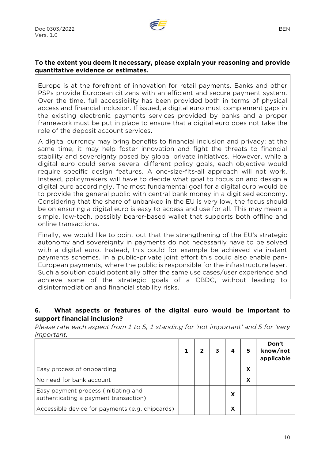

#### **To the extent you deem it necessary, please explain your reasoning and provide quantitative evidence or estimates.**

Europe is at the forefront of innovation for retail payments. Banks and other PSPs provide European citizens with an efficient and secure payment system. Over the time, full accessibility has been provided both in terms of physical access and financial inclusion. If issued, a digital euro must complement gaps in the existing electronic payments services provided by banks and a proper framework must be put in place to ensure that a digital euro does not take the role of the deposit account services.

A digital currency may bring benefits to financial inclusion and privacy; at the same time, it may help foster innovation and fight the threats to financial stability and sovereignty posed by global private initiatives. However, while a digital euro could serve several different policy goals, each objective would require specific design features. A one-size-fits-all approach will not work. Instead, policymakers will have to decide what goal to focus on and design a digital euro accordingly. The most fundamental goal for a digital euro would be to provide the general public with central bank money in a digitised economy. Considering that the share of unbanked in the EU is very low, the focus should be on ensuring a digital euro is easy to access and use for all. This may mean a simple, low-tech, possibly bearer-based wallet that supports both offline and online transactions.

Finally, we would like to point out that the strengthening of the EU's strategic autonomy and sovereignty in payments do not necessarily have to be solved with a digital euro. Instead, this could for example be achieved via instant payments schemes. In a public-private joint effort this could also enable pan-European payments, where the public is responsible for the infrastructure layer. Such a solution could potentially offer the same use cases/user experience and achieve some of the strategic goals of a CBDC, without leading to disintermediation and financial stability risks.

#### **6. What aspects or features of the digital euro would be important to support financial inclusion?**

*Please rate each aspect from 1 to 5, 1 standing for 'not important' and 5 for 'very important.* 

|                                                                               | 2 |   | 5 | Don't<br>know/not<br>applicable |
|-------------------------------------------------------------------------------|---|---|---|---------------------------------|
| Easy process of onboarding                                                    |   |   | х |                                 |
| No need for bank account                                                      |   |   | χ |                                 |
| Easy payment process (initiating and<br>authenticating a payment transaction) |   | x |   |                                 |
| Accessible device for payments (e.g. chipcards)                               |   |   |   |                                 |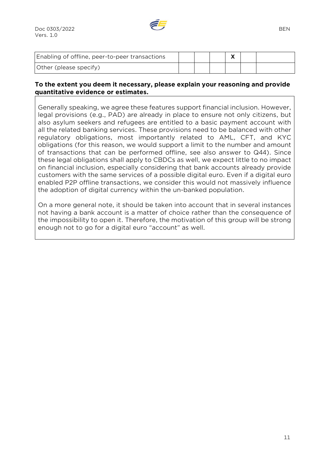

#### **To the extent you deem it necessary, please explain your reasoning and provide quantitative evidence or estimates.**

Generally speaking, we agree these features support financial inclusion. However, legal provisions (e.g., PAD) are already in place to ensure not only citizens, but also asylum seekers and refugees are entitled to a basic payment account with all the related banking services. These provisions need to be balanced with other regulatory obligations, most importantly related to AML, CFT, and KYC obligations (for this reason, we would support a limit to the number and amount of transactions that can be performed offline, see also answer to Q44). Since these legal obligations shall apply to CBDCs as well, we expect little to no impact on financial inclusion, especially considering that bank accounts already provide customers with the same services of a possible digital euro. Even if a digital euro enabled P2P offline transactions, we consider this would not massively influence the adoption of digital currency within the un-banked population.

On a more general note, it should be taken into account that in several instances not having a bank account is a matter of choice rather than the consequence of the impossibility to open it. Therefore, the motivation of this group will be strong enough not to go for a digital euro "account" as well.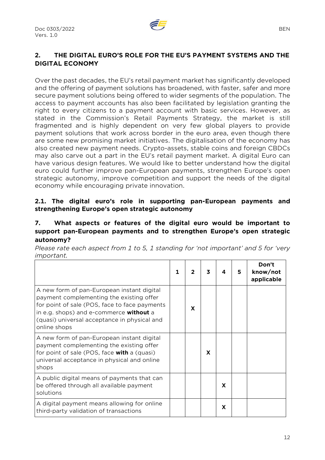

# **2. THE DIGITAL EURO'S ROLE FOR THE EU'S PAYMENT SYSTEMS AND THE DIGITAL ECONOMY**

Over the past decades, the EU's retail payment market has significantly developed and the offering of payment solutions has broadened, with faster, safer and more secure payment solutions being offered to wider segments of the population. The access to payment accounts has also been facilitated by legislation granting the right to every citizens to a payment account with basic services. However, as stated in the Commission's Retail Payments Strategy, the market is still fragmented and is highly dependent on very few global players to provide payment solutions that work across border in the euro area, even though there are some new promising market initiatives. The digitalisation of the economy has also created new payment needs. Crypto-assets, stable coins and foreign CBDCs may also carve out a part in the EU's retail payment market. A digital Euro can have various design features. We would like to better understand how the digital euro could further improve pan-European payments, strengthen Europe's open strategic autonomy, improve competition and support the needs of the digital economy while encouraging private innovation.

#### **2.1. The digital euro's role in supporting pan-European payments and strengthening Europe's open strategic autonomy**

#### **7. What aspects or features of the digital euro would be important to support pan-European payments and to strengthen Europe's open strategic autonomy?**

*Please rate each aspect from 1 to 5, 1 standing for 'not important' and 5 for 'very important.* 

|                                                                                                                                                                                                                                                    | 1 |   | 3 | 4 | 5 | Don't<br>know/not<br>applicable |
|----------------------------------------------------------------------------------------------------------------------------------------------------------------------------------------------------------------------------------------------------|---|---|---|---|---|---------------------------------|
| A new form of pan-European instant digital<br>payment complementing the existing offer<br>for point of sale (POS, face to face payments<br>in e.g. shops) and e-commerce without a<br>(quasi) universal acceptance in physical and<br>online shops |   | X |   |   |   |                                 |
| A new form of pan-European instant digital<br>payment complementing the existing offer<br>for point of sale (POS, face <b>with</b> a (quasi)<br>universal acceptance in physical and online<br>shops                                               |   |   | X |   |   |                                 |
| A public digital means of payments that can<br>be offered through all available payment<br>solutions                                                                                                                                               |   |   |   | X |   |                                 |
| A digital payment means allowing for online<br>third-party validation of transactions                                                                                                                                                              |   |   |   | X |   |                                 |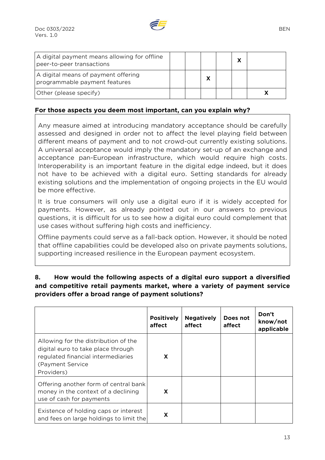

| A digital payment means allowing for offline<br>peer-to-peer transactions |  |  | χ |  |
|---------------------------------------------------------------------------|--|--|---|--|
| A digital means of payment offering<br>programmable payment features      |  |  |   |  |
| Other (please specify)                                                    |  |  |   |  |

#### **For those aspects you deem most important, can you explain why?**

Any measure aimed at introducing mandatory acceptance should be carefully assessed and designed in order not to affect the level playing field between different means of payment and to not crowd-out currently existing solutions. A universal acceptance would imply the mandatory set-up of an exchange and acceptance pan-European infrastructure, which would require high costs. Interoperability is an important feature in the digital edge indeed, but it does not have to be achieved with a digital euro. Setting standards for already existing solutions and the implementation of ongoing projects in the EU would be more effective.

It is true consumers will only use a digital euro if it is widely accepted for payments. However, as already pointed out in our answers to previous questions, it is difficult for us to see how a digital euro could complement that use cases without suffering high costs and inefficiency.

Offline payments could serve as a fall-back option. However, it should be noted that offline capabilities could be developed also on private payments solutions, supporting increased resilience in the European payment ecosystem.

#### **8. How would the following aspects of a digital euro support a diversified and competitive retail payments market, where a variety of payment service providers offer a broad range of payment solutions?**

|                                                                                                                                                     | <b>Positively</b><br>affect | <b>Negatively</b><br>affect | Does not<br>affect | Don't<br>know/not<br>applicable |
|-----------------------------------------------------------------------------------------------------------------------------------------------------|-----------------------------|-----------------------------|--------------------|---------------------------------|
| Allowing for the distribution of the<br>digital euro to take place through<br>regulated financial intermediaries<br>(Payment Service)<br>Providers) | X                           |                             |                    |                                 |
| Offering another form of central bank<br>money in the context of a declining<br>use of cash for payments                                            | X                           |                             |                    |                                 |
| Existence of holding caps or interest<br>and fees on large holdings to limit the                                                                    | x                           |                             |                    |                                 |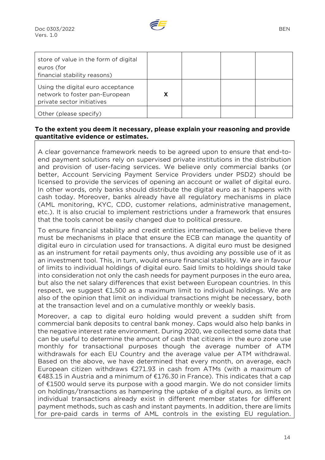| store of value in the form of digital<br>euros (for<br>financial stability reasons)               |  |  |
|---------------------------------------------------------------------------------------------------|--|--|
| Using the digital euro acceptance<br>network to foster pan-European<br>private sector initiatives |  |  |
| Other (please specify)                                                                            |  |  |

#### **To the extent you deem it necessary, please explain your reasoning and provide quantitative evidence or estimates.**

A clear governance framework needs to be agreed upon to ensure that end-toend payment solutions rely on supervised private institutions in the distribution and provision of user-facing services. We believe only commercial banks (or better, Account Servicing Payment Service Providers under PSD2) should be licensed to provide the services of opening an account or wallet of digital euro. In other words, only banks should distribute the digital euro as it happens with cash today. Moreover, banks already have all regulatory mechanisms in place (AML monitoring, KYC, CDD, customer relations, administrative management, etc.). It is also crucial to implement restrictions under a framework that ensures that the tools cannot be easily changed due to political pressure.

To ensure financial stability and credit entities intermediation, we believe there must be mechanisms in place that ensure the ECB can manage the quantity of digital euro in circulation used for transactions. A digital euro must be designed as an instrument for retail payments only, thus avoiding any possible use of it as an investment tool. This, in turn, would ensure financial stability. We are in favour of limits to individual holdings of digital euro. Said limits to holdings should take into consideration not only the cash needs for payment purposes in the euro area, but also the net salary differences that exist between European countries. In this respect, we suggest €1,500 as a maximum limit to individual holdings. We are also of the opinion that limit on individual transactions might be necessary, both at the transaction level and on a cumulative monthly or weekly basis.

Moreover, a cap to digital euro holding would prevent a sudden shift from commercial bank deposits to central bank money. Caps would also help banks in the negative interest rate environment. During 2020, we collected some data that can be useful to determine the amount of cash that citizens in the euro zone use monthly for transactional purposes though the average number of ATM withdrawals for each EU Country and the average value per ATM withdrawal. Based on the above, we have determined that every month, on average, each European citizen withdraws  $\epsilon$ 271.93 in cash from ATMs (with a maximum of €483.15 in Austria and a minimum of €176.30 in France). This indicates that a cap of €1500 would serve its purpose with a good margin. We do not consider limits on holdings/transactions as hampering the uptake of a digital euro, as limits on individual transactions already exist in different member states for different payment methods, such as cash and instant payments. In addition, there are limits for pre-paid cards in terms of AML controls in the existing EU regulation.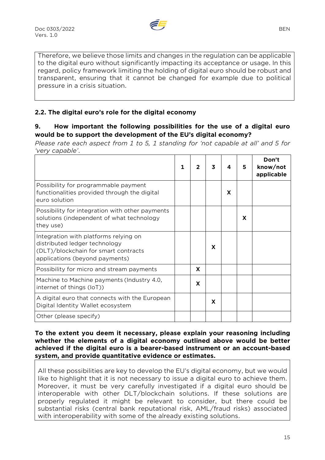

Therefore, we believe those limits and changes in the regulation can be applicable to the digital euro without significantly impacting its acceptance or usage. In this regard, policy framework limiting the holding of digital euro should be robust and transparent, ensuring that it cannot be changed for example due to political pressure in a crisis situation.

# **2.2. The digital euro's role for the digital economy**

#### **9. How important the following possibilities for the use of a digital euro would be to support the development of the EU's digital economy?**

*Please rate each aspect from 1 to 5, 1 standing for 'not capable at all' and 5 for 'very capable'*.

|                                                                                                                                                  |   | 3 |   | 5 | Don't<br>know/not<br>applicable |
|--------------------------------------------------------------------------------------------------------------------------------------------------|---|---|---|---|---------------------------------|
| Possibility for programmable payment<br>functionalities provided through the digital<br>euro solution                                            |   |   | X |   |                                 |
| Possibility for integration with other payments<br>solutions (independent of what technology<br>they use)                                        |   |   |   | X |                                 |
| Integration with platforms relying on<br>distributed ledger technology<br>(DLT)/blockchain for smart contracts<br>applications (beyond payments) |   | X |   |   |                                 |
| Possibility for micro and stream payments                                                                                                        | X |   |   |   |                                 |
| Machine to Machine payments (Industry 4.0,<br>internet of things (IoT))                                                                          | X |   |   |   |                                 |
| A digital euro that connects with the European<br>Digital Identity Wallet ecosystem                                                              |   | X |   |   |                                 |
| Other (please specify)                                                                                                                           |   |   |   |   |                                 |

**To the extent you deem it necessary, please explain your reasoning including whether the elements of a digital economy outlined above would be better achieved if the digital euro is a bearer-based instrument or an account-based system, and provide quantitative evidence or estimates.** 

All these possibilities are key to develop the EU's digital economy, but we would like to highlight that it is not necessary to issue a digital euro to achieve them. Moreover, it must be very carefully investigated if a digital euro should be interoperable with other DLT/blockchain solutions. If these solutions are properly regulated it might be relevant to consider, but there could be substantial risks (central bank reputational risk, AML/fraud risks) associated with interoperability with some of the already existing solutions.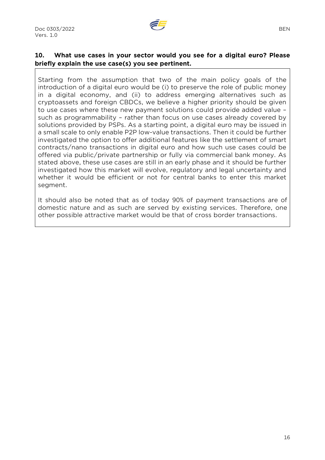

# **10. What use cases in your sector would you see for a digital euro? Please briefly explain the use case(s) you see pertinent.**

Starting from the assumption that two of the main policy goals of the introduction of a digital euro would be (i) to preserve the role of public money in a digital economy, and (ii) to address emerging alternatives such as cryptoassets and foreign CBDCs, we believe a higher priority should be given to use cases where these new payment solutions could provide added value – such as programmability – rather than focus on use cases already covered by solutions provided by PSPs. As a starting point, a digital euro may be issued in a small scale to only enable P2P low-value transactions. Then it could be further investigated the option to offer additional features like the settlement of smart contracts/nano transactions in digital euro and how such use cases could be offered via public/private partnership or fully via commercial bank money. As stated above, these use cases are still in an early phase and it should be further investigated how this market will evolve, regulatory and legal uncertainty and whether it would be efficient or not for central banks to enter this market segment.

It should also be noted that as of today 90% of payment transactions are of domestic nature and as such are served by existing services. Therefore, one other possible attractive market would be that of cross border transactions.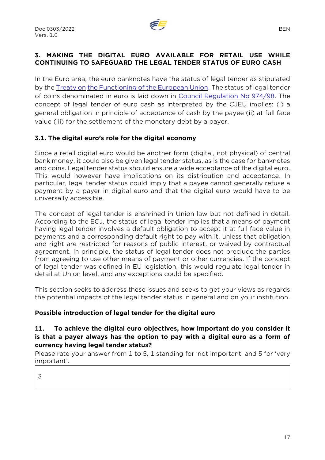

# **3. MAKING THE DIGITAL EURO AVAILABLE FOR RETAIL USE WHILE CONTINUING TO SAFEGUARD THE LEGAL TENDER STATUS OF EURO CASH**

In the Euro area, the euro banknotes have the status of legal tender as stipulated by th[e Treaty on](https://eur-lex.europa.eu/legal-content/EN/TXT/?uri=CELEX:12012E/TXT) [the Functioning of the European Union.](https://eur-lex.europa.eu/legal-content/EN/TXT/?uri=CELEX:12012E/TXT) The status of legal tender of coins denominated in euro is laid down in [Council Regulation No 974/98.](https://eur-lex.europa.eu/legal-content/EN/TXT/?uri=CELEX:31998R0974) The concept of legal tender of euro cash as interpreted by the CJEU implies: (i) a general obligation in principle of acceptance of cash by the payee (ii) at full face value (iii) for the settlement of the monetary debt by a payer.

#### **3.1. The digital euro's role for the digital economy**

Since a retail digital euro would be another form (digital, not physical) of central bank money, it could also be given legal tender status, as is the case for banknotes and coins. Legal tender status should ensure a wide acceptance of the digital euro. This would however have implications on its distribution and acceptance. In particular, legal tender status could imply that a payee cannot generally refuse a payment by a payer in digital euro and that the digital euro would have to be universally accessible.

The concept of legal tender is enshrined in Union law but not defined in detail. According to the ECJ, the status of legal tender implies that a means of payment having legal tender involves a default obligation to accept it at full face value in payments and a corresponding default right to pay with it, unless that obligation and right are restricted for reasons of public interest, or waived by contractual agreement. In principle, the status of legal tender does not preclude the parties from agreeing to use other means of payment or other currencies. If the concept of legal tender was defined in EU legislation, this would regulate legal tender in detail at Union level, and any exceptions could be specified.

This section seeks to address these issues and seeks to get your views as regards the potential impacts of the legal tender status in general and on your institution.

#### **Possible introduction of legal tender for the digital euro**

#### **11. To achieve the digital euro objectives, how important do you consider it is that a payer always has the option to pay with a digital euro as a form of currency having legal tender status?**

Please rate your answer from 1 to 5, 1 standing for 'not important' and 5 for 'very important'.

3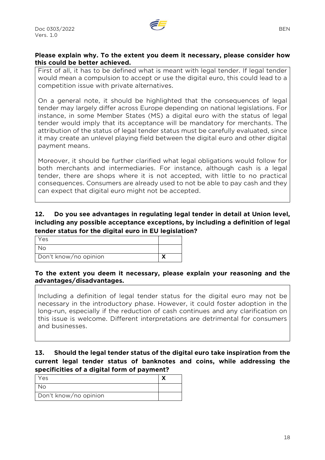

#### **Please explain why. To the extent you deem it necessary, please consider how this could be better achieved.**

First of all, it has to be defined what is meant with legal tender. If legal tender would mean a compulsion to accept or use the digital euro, this could lead to a competition issue with private alternatives.

On a general note, it should be highlighted that the consequences of legal tender may largely differ across Europe depending on national legislations. For instance, in some Member States (MS) a digital euro with the status of legal tender would imply that its acceptance will be mandatory for merchants. The attribution of the status of legal tender status must be carefully evaluated, since it may create an unlevel playing field between the digital euro and other digital payment means.

Moreover, it should be further clarified what legal obligations would follow for both merchants and intermediaries. For instance, although cash is a legal tender, there are shops where it is not accepted, with little to no practical consequences. Consumers are already used to not be able to pay cash and they can expect that digital euro might not be accepted.

#### **12. Do you see advantages in regulating legal tender in detail at Union level, including any possible acceptance exceptions, by including a definition of legal tender status for the digital euro in EU legislation?**

| Yes                   |  |
|-----------------------|--|
| ∩ו⁄'                  |  |
| Don't know/no opinion |  |

#### **To the extent you deem it necessary, please explain your reasoning and the advantages/disadvantages.**

Including a definition of legal tender status for the digital euro may not be necessary in the introductory phase. However, it could foster adoption in the long-run, especially if the reduction of cash continues and any clarification on this issue is welcome. Different interpretations are detrimental for consumers and businesses.

#### **13. Should the legal tender status of the digital euro take inspiration from the current legal tender status of banknotes and coins, while addressing the specificities of a digital form of payment?**

| Yes                   |  |
|-----------------------|--|
| ง∩                    |  |
| Don't know/no opinion |  |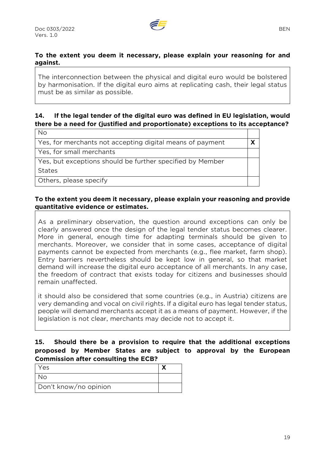

#### **To the extent you deem it necessary, please explain your reasoning for and against.**

The interconnection between the physical and digital euro would be bolstered by harmonisation. If the digital euro aims at replicating cash, their legal status must be as similar as possible.

# **14. If the legal tender of the digital euro was defined in EU legislation, would there be a need for (justified and proportionate) exceptions to its acceptance?**

 $N<sub>0</sub>$ 

Yes, for merchants not accepting digital means of payment **X**

Yes, for small merchants

Yes, but exceptions should be further specified by Member

States

Others, please specify

#### **To the extent you deem it necessary, please explain your reasoning and provide quantitative evidence or estimates.**

As a preliminary observation, the question around exceptions can only be clearly answered once the design of the legal tender status becomes clearer. More in general, enough time for adapting terminals should be given to merchants. Moreover, we consider that in some cases, acceptance of digital payments cannot be expected from merchants (e.g., flee market, farm shop). Entry barriers nevertheless should be kept low in general, so that market demand will increase the digital euro acceptance of all merchants. In any case, the freedom of contract that exists today for citizens and businesses should remain unaffected.

it should also be considered that some countries (e.g., in Austria) citizens are very demanding and vocal on civil rights. If a digital euro has legal tender status, people will demand merchants accept it as a means of payment. However, if the legislation is not clear, merchants may decide not to accept it.

#### **15. Should there be a provision to require that the additional exceptions proposed by Member States are subject to approval by the European Commission after consulting the ECB?**

| Yes                   |  |
|-----------------------|--|
| Nο                    |  |
| Don't know/no opinion |  |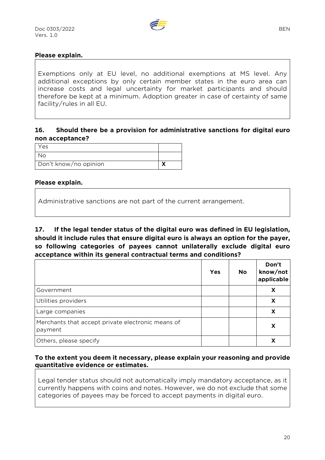

#### **Please explain.**

Exemptions only at EU level, no additional exemptions at MS level. Any additional exceptions by only certain member states in the euro area can increase costs and legal uncertainty for market participants and should therefore be kept at a minimum. Adoption greater in case of certainty of same facility/rules in all EU.

#### **16. Should there be a provision for administrative sanctions for digital euro non acceptance?**

| Yes                   |  |
|-----------------------|--|
| No                    |  |
| Don't know/no opinion |  |

#### **Please explain.**

Administrative sanctions are not part of the current arrangement.

**17. If the legal tender status of the digital euro was defined in EU legislation, should it include rules that ensure digital euro is always an option for the payer, so following categories of payees cannot unilaterally exclude digital euro acceptance within its general contractual terms and conditions?** 

|                                                              | <b>Yes</b> | No | Don't<br>know/not<br>applicable |
|--------------------------------------------------------------|------------|----|---------------------------------|
| Government                                                   |            |    | X                               |
| Utilities providers                                          |            |    | X                               |
| Large companies                                              |            |    | X                               |
| Merchants that accept private electronic means of<br>payment |            |    | X                               |
| Others, please specify                                       |            |    |                                 |

#### **To the extent you deem it necessary, please explain your reasoning and provide quantitative evidence or estimates.**

Legal tender status should not automatically imply mandatory acceptance, as it currently happens with coins and notes. However, we do not exclude that some categories of payees may be forced to accept payments in digital euro.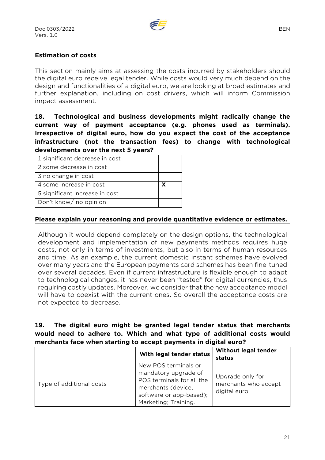

#### **Estimation of costs**

This section mainly aims at assessing the costs incurred by stakeholders should the digital euro receive legal tender. While costs would very much depend on the design and functionalities of a digital euro, we are looking at broad estimates and further explanation, including on cost drivers, which will inform Commission impact assessment.

**18. Technological and business developments might radically change the current way of payment acceptance (e.g. phones used as terminals). Irrespective of digital euro, how do you expect the cost of the acceptance infrastructure (not the transaction fees) to change with technological developments over the next 5 years?**

| 1 significant decrease in cost |  |
|--------------------------------|--|
| 2 some decrease in cost        |  |
| 3 no change in cost            |  |
| 4 some increase in cost        |  |
| 5 significant increase in cost |  |
| Don't know/ no opinion         |  |

#### **Please explain your reasoning and provide quantitative evidence or estimates.**

Although it would depend completely on the design options, the technological development and implementation of new payments methods requires huge costs, not only in terms of investments, but also in terms of human resources and time. As an example, the current domestic instant schemes have evolved over many years and the European payments card schemes has been fine-tuned over several decades. Even if current infrastructure is flexible enough to adapt to technological changes, it has never been "tested" for digital currencies, thus requiring costly updates. Moreover, we consider that the new acceptance model will have to coexist with the current ones. So overall the acceptance costs are not expected to decrease.

#### **19. The digital euro might be granted legal tender status that merchants would need to adhere to. Which and what type of additional costs would merchants face when starting to accept payments in digital euro?**

|                          | With legal tender status                                                                                                                           | <b>Without legal tender</b><br>status                    |
|--------------------------|----------------------------------------------------------------------------------------------------------------------------------------------------|----------------------------------------------------------|
| Type of additional costs | New POS terminals or<br>mandatory upgrade of<br>POS terminals for all the<br>merchants (device,<br>software or app-based);<br>Marketing; Training. | Upgrade only for<br>merchants who accept<br>digital euro |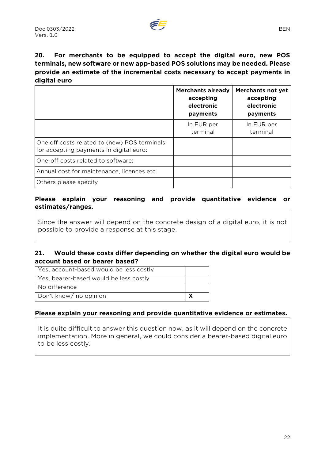

# **20. For merchants to be equipped to accept the digital euro, new POS terminals, new software or new app-based POS solutions may be needed. Please provide an estimate of the incremental costs necessary to accept payments in digital euro**

|                                                                                         | <b>Merchants already</b><br>accepting<br>electronic<br>payments | <b>Merchants not yet</b><br>accepting<br>electronic<br>payments |
|-----------------------------------------------------------------------------------------|-----------------------------------------------------------------|-----------------------------------------------------------------|
|                                                                                         | In EUR per<br>terminal                                          | In EUR per<br>terminal                                          |
| One off costs related to (new) POS terminals<br>for accepting payments in digital euro: |                                                                 |                                                                 |
| One-off costs related to software:                                                      |                                                                 |                                                                 |
| Annual cost for maintenance, licences etc.                                              |                                                                 |                                                                 |
| Others please specify                                                                   |                                                                 |                                                                 |

#### **Please explain your reasoning and provide quantitative evidence or estimates/ranges.**

Since the answer will depend on the concrete design of a digital euro, it is not possible to provide a response at this stage.

#### **21. Would these costs differ depending on whether the digital euro would be account based or bearer based?**

| Yes, account-based would be less costly |  |
|-----------------------------------------|--|
| Yes, bearer-based would be less costly  |  |
| l No difference                         |  |
| Don't know/ no opinion                  |  |

#### **Please explain your reasoning and provide quantitative evidence or estimates.**

It is quite difficult to answer this question now, as it will depend on the concrete implementation. More in general, we could consider a bearer-based digital euro to be less costly.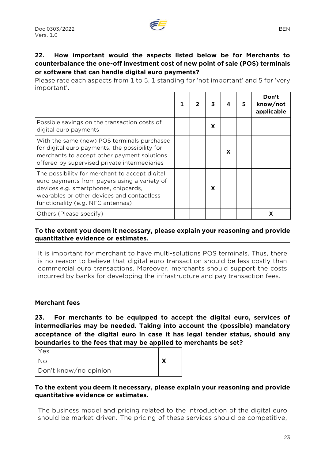Please rate each aspects from 1 to 5, 1 standing for 'not important' and 5 for 'very important'.

|                                                                                                                                                                                                                           |  | 3 |   | 5 | Don't<br>know/not<br>applicable |
|---------------------------------------------------------------------------------------------------------------------------------------------------------------------------------------------------------------------------|--|---|---|---|---------------------------------|
| Possible savings on the transaction costs of<br>digital euro payments                                                                                                                                                     |  | X |   |   |                                 |
| With the same (new) POS terminals purchased<br>for digital euro payments, the possibility for<br>merchants to accept other payment solutions<br>offered by supervised private intermediaries                              |  |   | X |   |                                 |
| The possibility for merchant to accept digital<br>euro payments from payers using a variety of<br>devices e.g. smartphones, chipcards,<br>wearables or other devices and contactless<br>functionality (e.g. NFC antennas) |  | X |   |   |                                 |
| Others (Please specify)                                                                                                                                                                                                   |  |   |   |   |                                 |

**To the extent you deem it necessary, please explain your reasoning and provide quantitative evidence or estimates.** 

It is important for merchant to have multi-solutions POS terminals. Thus, there is no reason to believe that digital euro transaction should be less costly than commercial euro transactions. Moreover, merchants should support the costs incurred by banks for developing the infrastructure and pay transaction fees.

#### **Merchant fees**

**23. For merchants to be equipped to accept the digital euro, services of intermediaries may be needed. Taking into account the (possible) mandatory acceptance of the digital euro in case it has legal tender status, should any boundaries to the fees that may be applied to merchants be set?** 

| Yes                   |  |
|-----------------------|--|
| ง∩                    |  |
| Don't know/no opinion |  |

**To the extent you deem it necessary, please explain your reasoning and provide quantitative evidence or estimates.** 

The business model and pricing related to the introduction of the digital euro should be market driven. The pricing of these services should be competitive,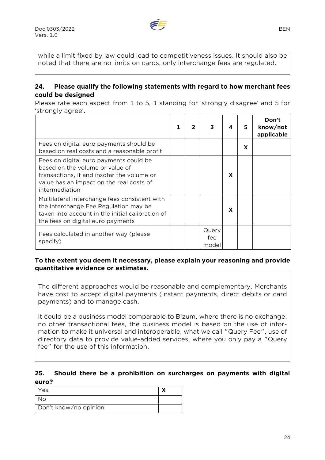

while a limit fixed by law could lead to competitiveness issues. It should also be noted that there are no limits on cards, only interchange fees are regulated.

#### **24. Please qualify the following statements with regard to how merchant fees could be designed**

Please rate each aspect from 1 to 5, 1 standing for 'strongly disagree' and 5 for 'strongly agree'.

|                                                                                                                                                                                       | 2 | 3                     |   | 5 | Don't<br>know/not<br>applicable |
|---------------------------------------------------------------------------------------------------------------------------------------------------------------------------------------|---|-----------------------|---|---|---------------------------------|
| Fees on digital euro payments should be<br>based on real costs and a reasonable profit                                                                                                |   |                       |   | X |                                 |
| Fees on digital euro payments could be<br>based on the volume or value of<br>transactions, if and insofar the volume or<br>value has an impact on the real costs of<br>intermediation |   |                       | X |   |                                 |
| Multilateral interchange fees consistent with<br>the Interchange Fee Regulation may be<br>taken into account in the initial calibration of<br>the fees on digital euro payments       |   |                       | X |   |                                 |
| Fees calculated in another way (please<br>specify)                                                                                                                                    |   | Query<br>fee<br>model |   |   |                                 |

#### **To the extent you deem it necessary, please explain your reasoning and provide quantitative evidence or estimates.**

The different approaches would be reasonable and complementary. Merchants have cost to accept digital payments (instant payments, direct debits or card payments) and to manage cash.

It could be a business model comparable to Bizum, where there is no exchange, no other transactional fees, the business model is based on the use of information to make it universal and interoperable, what we call "Query Fee", use of directory data to provide value-added services, where you only pay a "Query fee" for the use of this information.

#### **25. Should there be a prohibition on surcharges on payments with digital euro?**

| Yes                   |  |
|-----------------------|--|
| No                    |  |
| Don't know/no opinion |  |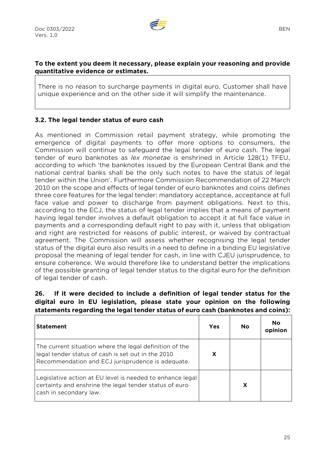

#### **To the extent you deem it necessary, please explain your reasoning and provide quantitative evidence or estimates.**

There is no reason to surcharge payments in digital euro. Customer shall have unique experience and on the other side it will simplify the maintenance.

#### **3.2. The legal tender status of euro cash**

As mentioned in Commission retail payment strategy, while promoting the emergence of digital payments to offer more options to consumers, the Commission will continue to safeguard the legal tender of euro cash. The legal tender of euro banknotes as *lex monetae* is enshrined in Article 128(1) TFEU, according to which 'the banknotes issued by the European Central Bank and the national central banks shall be the only such notes to have the status of legal tender within the Union'. Furthermore Commission Recommendation of 22 March 2010 on the scope and effects of legal tender of euro banknotes and coins defines three core features for the legal tender: mandatory acceptance, acceptance at full face value and power to discharge from payment obligations. Next to this, according to the ECJ, the status of legal tender implies that a means of payment having legal tender involves a default obligation to accept it at full face value in payments and a corresponding default right to pay with it, unless that obligation and right are restricted for reasons of public interest, or waived by contractual agreement. The Commission will assess whether recognising the legal tender status of the digital euro also results in a need to define in a binding EU legislative proposal the meaning of legal tender for cash, in line with CJEU jurisprudence, to ensure coherence. We would therefore like to understand better the implications of the possible granting of legal tender status to the digital euro for the definition of legal tender of cash.

#### **26. If it were decided to include a definition of legal tender status for the digital euro in EU legislation, please state your opinion on the following statements regarding the legal tender status of euro cash (banknotes and coins):**

| <b>Statement</b>                                                                                                                                                   | Yes | <b>No</b> | No<br>opinion |
|--------------------------------------------------------------------------------------------------------------------------------------------------------------------|-----|-----------|---------------|
| The current situation where the legal definition of the<br>legal tender status of cash is set out in the 2010<br>Recommendation and ECJ jurisprudence is adequate. | X   |           |               |
| Legislative action at EU level is needed to enhance legal<br>certainty and enshrine the legal tender status of euro<br>cash in secondary law.                      |     |           |               |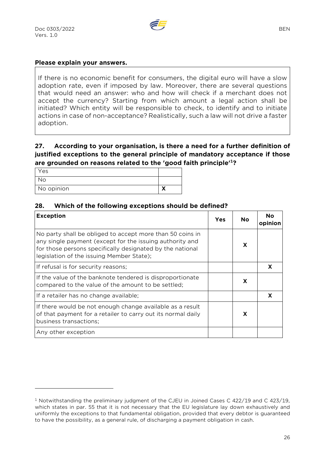

#### **Please explain your answers.**

If there is no economic benefit for consumers, the digital euro will have a slow adoption rate, even if imposed by law. Moreover, there are several questions that would need an answer: who and how will check if a merchant does not accept the currency? Starting from which amount a legal action shall be initiated? Which entity will be responsible to check, to identify and to initiate actions in case of non-acceptance? Realistically, such a law will not drive a faster adoption.

#### **27. According to your organisation, is there a need for a further definition of justified exceptions to the general principle of mandatory acceptance if those are grounded on reasons related to the 'good faith principle'<sup>1</sup>?**

| Yes        |  |
|------------|--|
| <b>No</b>  |  |
| No opinion |  |

#### **28. Which of the following exceptions should be defined?**

| <b>Exception</b>                                                                                                                                                                                                                | Yes | No. | Nο<br>opinion |
|---------------------------------------------------------------------------------------------------------------------------------------------------------------------------------------------------------------------------------|-----|-----|---------------|
| No party shall be obliged to accept more than 50 coins in<br>any single payment (except for the issuing authority and<br>for those persons specifically designated by the national<br>legislation of the issuing Member State); |     | X   |               |
| If refusal is for security reasons;                                                                                                                                                                                             |     |     |               |
| If the value of the banknote tendered is disproportionate<br>compared to the value of the amount to be settled;                                                                                                                 |     | X   |               |
| If a retailer has no change available;                                                                                                                                                                                          |     |     | X             |
| If there would be not enough change available as a result<br>of that payment for a retailer to carry out its normal daily<br>business transactions;                                                                             |     | X   |               |
| Any other exception                                                                                                                                                                                                             |     |     |               |

<sup>1</sup> Notwithstanding the preliminary judgment of the CJEU in Joined Cases C 422/19 and C 423/19, which states in par. 55 that it is not necessary that the EU legislature lay down exhaustively and uniformly the exceptions to that fundamental obligation, provided that every debtor is guaranteed to have the possibility, as a general rule, of discharging a payment obligation in cash.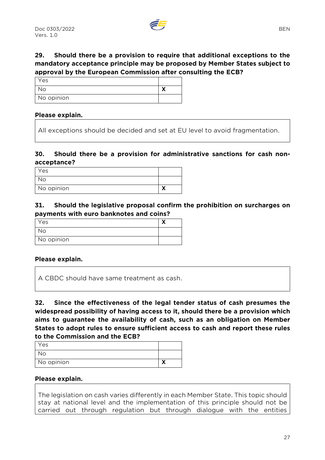# **29. Should there be a provision to require that additional exceptions to the mandatory acceptance principle may be proposed by Member States subject to approval by the European Commission after consulting the ECB?**

| Yes        |  |
|------------|--|
| No         |  |
| No opinion |  |

#### **Please explain.**

All exceptions should be decided and set at EU level to avoid fragmentation.

# **30. Should there be a provision for administrative sanctions for cash nonacceptance?**

| Yes        |  |
|------------|--|
| No         |  |
| No opinion |  |

#### **31. Should the legislative proposal confirm the prohibition on surcharges on payments with euro banknotes and coins?**

| Yes        |  |
|------------|--|
| No l       |  |
| No opinion |  |

#### **Please explain.**

A CBDC should have same treatment as cash.

**32. Since the effectiveness of the legal tender status of cash presumes the widespread possibility of having access to it, should there be a provision which aims to guarantee the availability of cash, such as an obligation on Member States to adopt rules to ensure sufficient access to cash and report these rules to the Commission and the ECB?** 

| Yes        |   |
|------------|---|
| No.        |   |
| No opinion | ↗ |

#### **Please explain.**

The legislation on cash varies differently in each Member State. This topic should stay at national level and the implementation of this principle should not be carried out through regulation but through dialogue with the entities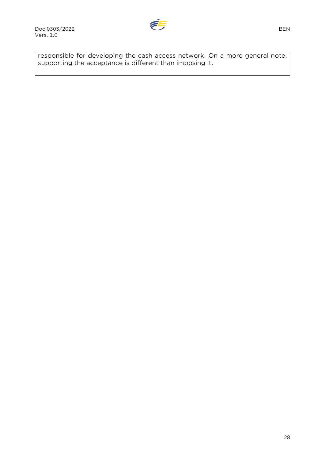

responsible for developing the cash access network. On a more general note, supporting the acceptance is different than imposing it.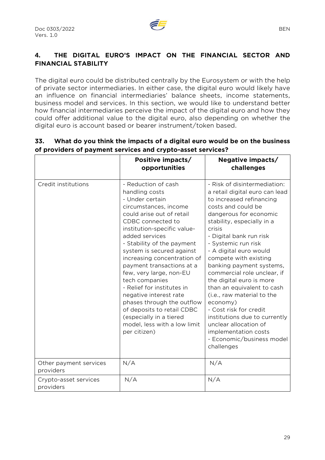

# **4. THE DIGITAL EURO'S IMPACT ON THE FINANCIAL SECTOR AND FINANCIAL STABILITY**

The digital euro could be distributed centrally by the Eurosystem or with the help of private sector intermediaries. In either case, the digital euro would likely have an influence on financial intermediaries' balance sheets, income statements, business model and services. In this section, we would like to understand better how financial intermediaries perceive the impact of the digital euro and how they could offer additional value to the digital euro, also depending on whether the digital euro is account based or bearer instrument/token based.

|                                     | Positive impacts/<br>opportunities                                                                                                                                                                                                                                                                                                                                                                                                                                                                                                                      | Negative impacts/<br>challenges                                                                                                                                                                                                                                                                                                                                                                                                                                                                                                                                                                               |
|-------------------------------------|---------------------------------------------------------------------------------------------------------------------------------------------------------------------------------------------------------------------------------------------------------------------------------------------------------------------------------------------------------------------------------------------------------------------------------------------------------------------------------------------------------------------------------------------------------|---------------------------------------------------------------------------------------------------------------------------------------------------------------------------------------------------------------------------------------------------------------------------------------------------------------------------------------------------------------------------------------------------------------------------------------------------------------------------------------------------------------------------------------------------------------------------------------------------------------|
| Credit institutions                 | - Reduction of cash<br>handling costs<br>- Under certain<br>circumstances, income<br>could arise out of retail<br>CDBC connected to<br>institution-specific value-<br>added services<br>- Stability of the payment<br>system is secured against<br>increasing concentration of<br>payment transactions at a<br>few, very large, non-EU<br>tech companies<br>- Relief for institutes in<br>negative interest rate<br>phases through the outflow<br>of deposits to retail CDBC<br>(especially in a tiered<br>model, less with a low limit<br>per citizen) | - Risk of disintermediation:<br>a retail digital euro can lead<br>to increased refinancing<br>costs and could be<br>dangerous for economic<br>stability, especially in a<br>crisis<br>- Digital bank run risk<br>- Systemic run risk<br>- A digital euro would<br>compete with existing<br>banking payment systems,<br>commercial role unclear, if<br>the digital euro is more<br>than an equivalent to cash<br>(i.e., raw material to the<br>economy)<br>- Cost risk for credit<br>institutions due to currently<br>unclear allocation of<br>implementation costs<br>- Economic/business model<br>challenges |
| Other payment services<br>providers | N/A                                                                                                                                                                                                                                                                                                                                                                                                                                                                                                                                                     | N/A                                                                                                                                                                                                                                                                                                                                                                                                                                                                                                                                                                                                           |
| Crypto-asset services<br>providers  | N/A                                                                                                                                                                                                                                                                                                                                                                                                                                                                                                                                                     | N/A                                                                                                                                                                                                                                                                                                                                                                                                                                                                                                                                                                                                           |

# **33. What do you think the impacts of a digital euro would be on the business of providers of payment services and crypto-asset services?**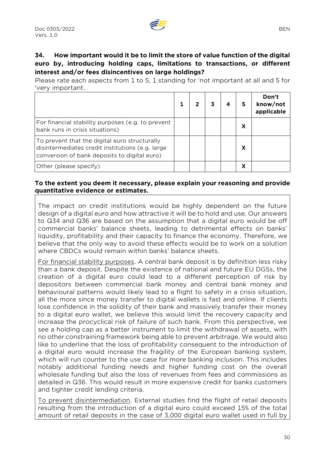

#### **34. How important would it be to limit the store of value function of the digital euro by, introducing holding caps, limitations to transactions, or different interest and/or fees disincentives on large holdings?**

Please rate each aspects from 1 to 5, 1 standing for 'not important at all and 5 for 'very important.

|                                                                                                                                                   |  |  | 5 | Don't<br>know/not<br>applicable |
|---------------------------------------------------------------------------------------------------------------------------------------------------|--|--|---|---------------------------------|
| For financial stability purposes (e.g. to prevent<br>bank runs in crisis situations)                                                              |  |  |   |                                 |
| To prevent that the digital euro structurally<br>disintermediates credit institutions (e.g. large<br>conversion of bank deposits to digital euro) |  |  | X |                                 |
| Other (please specify)                                                                                                                            |  |  |   |                                 |

#### **To the extent you deem it necessary, please explain your reasoning and provide quantitative evidence or estimates.**

The impact on credit institutions would be highly dependent on the future design of a digital euro and how attractive it will be to hold and use. Our answers to Q34 and Q36 are based on the assumption that a digital euro would be off commercial banks' balance sheets, leading to detrimental effects on banks' liquidity, profitability and their capacity to finance the economy. Therefore, we believe that the only way to avoid these effects would be to work on a solution where CBDCs would remain within banks' balance sheets.

For financial stability purposes. A central bank deposit is by definition less risky than a bank deposit. Despite the existence of national and future EU DGSs, the creation of a digital euro could lead to a different perception of risk by depositors between commercial bank money and central bank money and behavioural patterns would likely lead to a flight to safety in a crisis situation, all the more since money transfer to digital wallets is fast and online. If clients lose confidence in the solidity of their bank and massively transfer their money to a digital euro wallet, we believe this would limit the recovery capacity and increase the procyclical risk of failure of such bank. From this perspective, we see a holding cap as a better instrument to limit the withdrawal of assets, with no other constraining framework being able to prevent arbitrage. We would also like to underline that the loss of profitability consequent to the introduction of a digital euro would increase the fragility of the European banking system, which will run counter to the use case for more banking inclusion. This includes notably additional funding needs and higher funding cost on the overall wholesale funding but also the loss of revenues from fees and commissions as detailed in Q36. This would result in more expensive credit for banks customers and tighter credit lending criteria.

To prevent disintermediation. External studies find the flight of retail deposits resulting from the introduction of a digital euro could exceed 15% of the total amount of retail deposits in the case of 3,000 digital euro wallet used in full by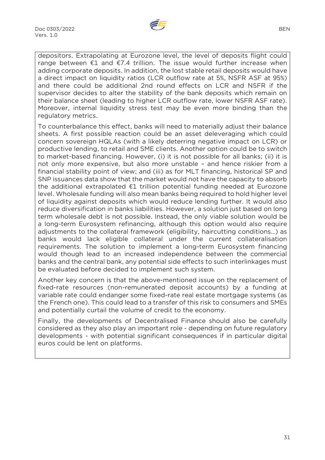

depositors. Extrapolating at Eurozone level, the level of deposits flight could range between  $E1$  and  $E7.4$  trillion. The issue would further increase when adding corporate deposits. In addition, the lost stable retail deposits would have a direct impact on liquidity ratios (LCR outflow rate at 5%, NSFR ASF at 95%) and there could be additional 2nd round effects on LCR and NSFR if the supervisor decides to alter the stability of the bank deposits which remain on their balance sheet (leading to higher LCR outflow rate, lower NSFR ASF rate). Moreover, internal liquidity stress test may be even more binding than the regulatory metrics.

To counterbalance this effect, banks will need to materially adjust their balance sheets. A first possible reaction could be an asset deleveraging which could concern sovereign HQLAs (with a likely deterring negative impact on LCR) or productive lending, to retail and SME clients. Another option could be to switch to market-based financing. However, (i) it is not possible for all banks; (ii) it is not only more expensive, but also more unstable – and hence riskier from a financial stability point of view; and (iii) as for MLT financing, historical SP and SNP issuances data show that the market would not have the capacity to absorb the additional extrapolated €1 trillion potential funding needed at Eurozone level. Wholesale funding will also mean banks being required to hold higher level of liquidity against deposits which would reduce lending further. It would also reduce diversification in banks liabilities. However, a solution just based on long term wholesale debt is not possible. Instead, the only viable solution would be a long-term Eurosystem refinancing, although this option would also require adjustments to the collateral framework (eligibility, haircutting conditions…) as banks would lack eligible collateral under the current collateralisation requirements. The solution to implement a long-term Eurosystem financing would though lead to an increased independence between the commercial banks and the central bank, any potential side effects to such interlinkages must be evaluated before decided to implement such system.

Another key concern is that the above-mentioned issue on the replacement of fixed-rate resources (non-remunerated deposit accounts) by a funding at variable rate could endanger some fixed-rate real estate mortgage systems (as the French one). This could lead to a transfer of this risk to consumers and SMEs and potentially curtail the volume of credit to the economy.

Finally, the developments of Decentralised Finance should also be carefully considered as they also play an important role - depending on future regulatory developments - with potential significant consequences if in particular digital euros could be lent on platforms.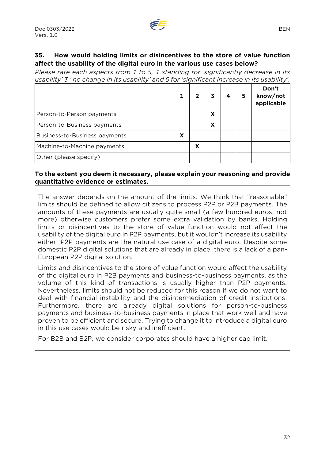# **35. How would holding limits or disincentives to the store of value function affect the usability of the digital euro in the various use cases below?**

*Please rate each aspects from 1 to 5, 1 standing for 'significantly decrease in its usability' 3 ' no change in its usability' and 5 for 'significant increase in its usability'.*

|                               |   |   | 3 | 5 | Don't<br>know/not<br>applicable |
|-------------------------------|---|---|---|---|---------------------------------|
| Person-to-Person payments     |   |   | x |   |                                 |
| Person-to-Business payments   |   |   | X |   |                                 |
| Business-to-Business payments | X |   |   |   |                                 |
| Machine-to-Machine payments   |   | х |   |   |                                 |
| Other (please specify)        |   |   |   |   |                                 |

#### **To the extent you deem it necessary, please explain your reasoning and provide quantitative evidence or estimates.**

The answer depends on the amount of the limits. We think that "reasonable" limits should be defined to allow citizens to process P2P or P2B payments. The amounts of these payments are usually quite small (a few hundred euros, not more) otherwise customers prefer some extra validation by banks. Holding limits or disincentives to the store of value function would not affect the usability of the digital euro in P2P payments, but it wouldn't increase its usability either. P2P payments are the natural use case of a digital euro. Despite some domestic P2P digital solutions that are already in place, there is a lack of a pan-European P2P digital solution.

Limits and disincentives to the store of value function would affect the usability of the digital euro in P2B payments and business-to-business payments, as the volume of this kind of transactions is usually higher than P2P payments. Nevertheless, limits should not be reduced for this reason if we do not want to deal with financial instability and the disintermediation of credit institutions. Furthermore, there are already digital solutions for person-to-business payments and business-to-business payments in place that work well and have proven to be efficient and secure. Trying to change it to introduce a digital euro in this use cases would be risky and inefficient.

For B2B and B2P, we consider corporates should have a higher cap limit.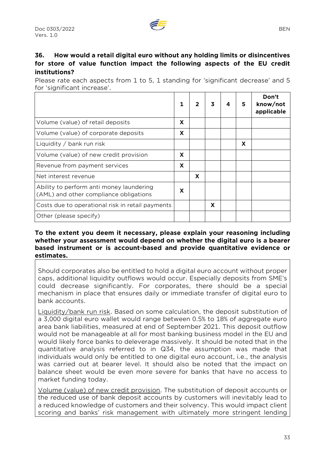# **36. How would a retail digital euro without any holding limits or disincentives for store of value function impact the following aspects of the EU credit institutions?**

Please rate each aspects from 1 to 5, 1 standing for 'significant decrease' and 5 for 'significant increase'.

|                                                                                    |   |   | 3 | 5 | Don't<br>know/not<br>applicable |
|------------------------------------------------------------------------------------|---|---|---|---|---------------------------------|
| Volume (value) of retail deposits                                                  | X |   |   |   |                                 |
| Volume (value) of corporate deposits                                               | X |   |   |   |                                 |
| Liquidity $/$ bank run risk                                                        |   |   |   | X |                                 |
| Volume (value) of new credit provision                                             | X |   |   |   |                                 |
| Revenue from payment services                                                      | X |   |   |   |                                 |
| Net interest revenue                                                               |   | X |   |   |                                 |
| Ability to perform anti money laundering<br>(AML) and other compliance obligations | X |   |   |   |                                 |
| Costs due to operational risk in retail payments                                   |   |   | X |   |                                 |
| Other (please specify)                                                             |   |   |   |   |                                 |

#### **To the extent you deem it necessary, please explain your reasoning including whether your assessment would depend on whether the digital euro is a bearer based instrument or is account-based and provide quantitative evidence or estimates.**

Should corporates also be entitled to hold a digital euro account without proper caps, additional liquidity outflows would occur. Especially deposits from SME's could decrease significantly. For corporates, there should be a special mechanism in place that ensures daily or immediate transfer of digital euro to bank accounts.

Liquidity/bank run risk. Based on some calculation, the deposit substitution of a 3,000 digital euro wallet would range between 0.5% to 18% of aggregate euro area bank liabilities, measured at end of September 2021. This deposit outflow would not be manageable at all for most banking business model in the EU and would likely force banks to deleverage massively. It should be noted that in the quantitative analysis referred to in Q34, the assumption was made that individuals would only be entitled to one digital euro account, i.e., the analysis was carried out at bearer level. It should also be noted that the impact on balance sheet would be even more severe for banks that have no access to market funding today.

Volume (value) of new credit provision. The substitution of deposit accounts or the reduced use of bank deposit accounts by customers will inevitably lead to a reduced knowledge of customers and their solvency. This would impact client scoring and banks' risk management with ultimately more stringent lending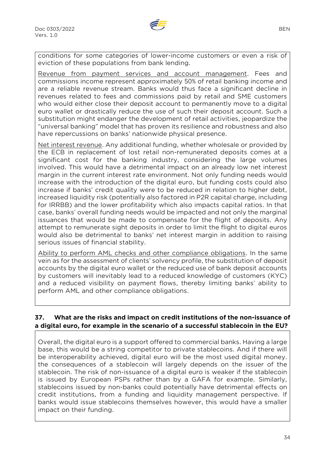

conditions for some categories of lower-income customers or even a risk of eviction of these populations from bank lending.

Revenue from payment services and account management. Fees and commissions income represent approximately 50% of retail banking income and are a reliable revenue stream. Banks would thus face a significant decline in revenues related to fees and commissions paid by retail and SME customers who would either close their deposit account to permanently move to a digital euro wallet or drastically reduce the use of such their deposit account. Such a substitution might endanger the development of retail activities, jeopardize the "universal banking" model that has proven its resilience and robustness and also have repercussions on banks' nationwide physical presence.

Net interest revenue. Any additional funding, whether wholesale or provided by the ECB in replacement of lost retail non-remunerated deposits comes at a significant cost for the banking industry, considering the large volumes involved. This would have a detrimental impact on an already low net interest margin in the current interest rate environment. Not only funding needs would increase with the introduction of the digital euro, but funding costs could also increase if banks' credit quality were to be reduced in relation to higher debt, increased liquidity risk (potentially also factored in P2R capital charge, including for IRRBB) and the lower profitability which also impacts capital ratios. In that case, banks' overall funding needs would be impacted and not only the marginal issuances that would be made to compensate for the flight of deposits. Any attempt to remunerate sight deposits in order to limit the flight to digital euros would also be detrimental to banks' net interest margin in addition to raising serious issues of financial stability.

Ability to perform AML checks and other compliance obligations. In the same vein as for the assessment of clients' solvency profile, the substitution of deposit accounts by the digital euro wallet or the reduced use of bank deposit accounts by customers will inevitably lead to a reduced knowledge of customers (KYC) and a reduced visibility on payment flows, thereby limiting banks' ability to perform AML and other compliance obligations.

# **37. What are the risks and impact on credit institutions of the non-issuance of a digital euro, for example in the scenario of a successful stablecoin in the EU?**

Overall, the digital euro is a support offered to commercial banks. Having a large base, this would be a string competitor to private stablecoins. And if there will be interoperability achieved, digital euro will be the most used digital money. the consequences of a stablecoin will largely depends on the issuer of the stablecoin. The risk of non-issuance of a digital euro is weaker if the stablecoin is issued by European PSPs rather than by a GAFA for example. Similarly, stablecoins issued by non-banks could potentially have detrimental effects on credit institutions, from a funding and liquidity management perspective. If banks would issue stablecoins themselves however, this would have a smaller impact on their funding.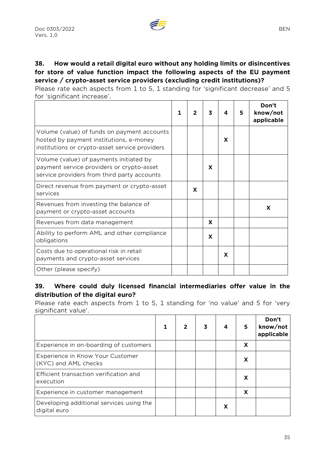Please rate each aspects from 1 to 5, 1 standing for 'significant decrease' and 5 for 'significant increase'.

|                                                                                                                                          | $\mathbf{1}$ | 2 | 3 | 4 | 5 | Don't<br>know/not<br>applicable |
|------------------------------------------------------------------------------------------------------------------------------------------|--------------|---|---|---|---|---------------------------------|
| Volume (value) of funds on payment accounts<br>hosted by payment institutions, e-money<br>institutions or crypto-asset service providers |              |   |   | X |   |                                 |
| Volume (value) of payments initiated by<br>payment service providers or crypto-asset<br>service providers from third party accounts      |              |   | X |   |   |                                 |
| Direct revenue from payment or crypto-asset<br>services                                                                                  |              | X |   |   |   |                                 |
| Revenues from investing the balance of<br>payment or crypto-asset accounts                                                               |              |   |   |   |   | X                               |
| Revenues from data management                                                                                                            |              |   | X |   |   |                                 |
| Ability to perform AML and other compliance<br>obligations                                                                               |              |   | X |   |   |                                 |
| Costs due to operational risk in retail<br>payments and crypto-asset services                                                            |              |   |   | X |   |                                 |
| Other (please specify)                                                                                                                   |              |   |   |   |   |                                 |

#### **39. Where could duly licensed financial intermediaries offer value in the distribution of the digital euro?**

Please rate each aspects from 1 to 5, 1 standing for 'no value' and 5 for 'very significant value'.

|                                                          |  | 4 | 5. | Don't<br>know/not<br>applicable |
|----------------------------------------------------------|--|---|----|---------------------------------|
| Experience in on-boarding of customers                   |  |   | X  |                                 |
| Experience in Know Your Customer<br>(KYC) and AML checks |  |   | x  |                                 |
| Efficient transaction verification and<br>execution      |  |   | X  |                                 |
| Experience in customer management                        |  |   | X  |                                 |
| Developing additional services using the<br>digital euro |  | x |    |                                 |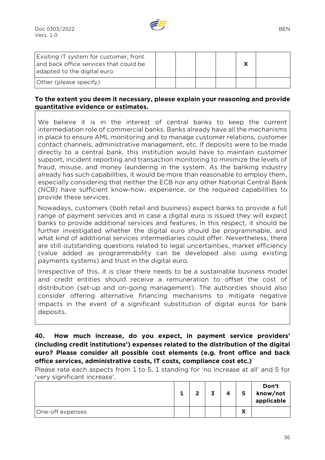

| Existing IT system for customer, front<br>and back office services that could be<br>adapted to the digital euro |  |  |  |
|-----------------------------------------------------------------------------------------------------------------|--|--|--|
| Other (please specify)                                                                                          |  |  |  |

#### **To the extent you deem it necessary, please explain your reasoning and provide quantitative evidence or estimates.**

We believe it is in the interest of central banks to keep the current intermediation role of commercial banks. Banks already have all the mechanisms in place to ensure AML monitoring and to manage customer relations, customer contact channels, administrative management, etc. If deposits were to be made directly to a central bank, this institution would have to maintain customer support, incident reporting and transaction monitoring to minimize the levels of fraud, misuse, and money laundering in the system. As the banking industry already has such capabilities, it would be more than reasonable to employ them, especially considering that neither the ECB nor any other National Central Bank (NCB) have sufficient know-how, experience, or the required capabilities to provide these services.

Nowadays, customers (both retail and business) expect banks to provide a full range of payment services and in case a digital euro is issued they will expect banks to provide additional services and features. In this respect, it should be further investigated whether the digital euro should be programmable, and what kind of additional services intermediaries could offer. Nevertheless, there are still outstanding questions related to legal uncertainties, market efficiency (value added as programmability can be developed also using existing payments systems) and trust in the digital euro.

Irrespective of this, it is clear there needs to be a sustainable business model and credit entities should receive a remuneration to offset the cost of distribution (set-up and on-going management). The authorities should also consider offering alternative financing mechanisms to mitigate negative impacts in the event of a significant substitution of digital euros for bank deposits.

**40. How much increase, do you expect, in payment service providers' (including credit institutions') expenses related to the distribution of the digital euro? Please consider all possible cost elements (e.g. front office and back office services, administrative costs, IT costs, compliance cost etc.)** 

Please rate each aspects from 1 to 5, 1 standing for 'no increase at all' and 5 for 'very significant increase'.

|                  | -- | ◠ | 3 | 4 | 5                               | Don't<br>know/not<br>applicable |
|------------------|----|---|---|---|---------------------------------|---------------------------------|
| One-off expenses |    |   |   |   | v<br>$\boldsymbol{\mathcal{L}}$ |                                 |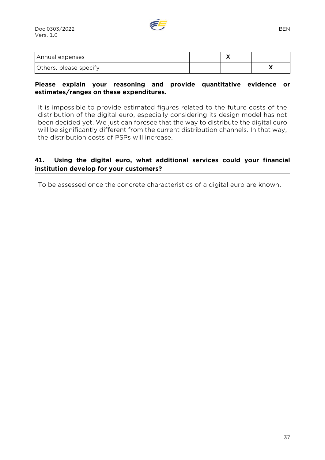

| Annual expenses        |  | ` |     |
|------------------------|--|---|-----|
| Others, please specify |  |   | . . |

#### **Please explain your reasoning and provide quantitative evidence or estimates/ranges on these expenditures.**

It is impossible to provide estimated figures related to the future costs of the distribution of the digital euro, especially considering its design model has not been decided yet. We just can foresee that the way to distribute the digital euro will be significantly different from the current distribution channels. In that way, the distribution costs of PSPs will increase.

#### **41. Using the digital euro, what additional services could your financial institution develop for your customers?**

To be assessed once the concrete characteristics of a digital euro are known.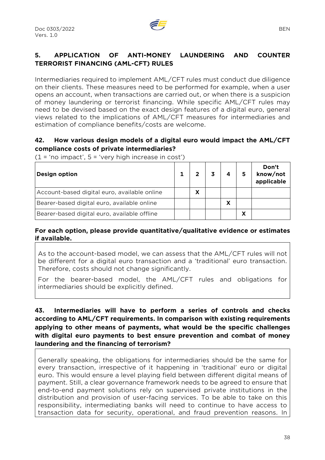# **5. APPLICATION OF ANTI-MONEY LAUNDERING AND COUNTER TERRORIST FINANCING (AML-CFT) RULES**

Intermediaries required to implement AML/CFT rules must conduct due diligence on their clients. These measures need to be performed for example, when a user opens an account, when transactions are carried out, or when there is a suspicion of money laundering or terrorist financing. While specific AML/CFT rules may need to be devised based on the exact design features of a digital euro, general views related to the implications of AML/CFT measures for intermediaries and estimation of compliance benefits/costs are welcome.

#### **42. How various design models of a digital euro would impact the AML/CFT compliance costs of private intermediaries?**

 $(1 = 'no impact', 5 = 'very high increase in cost')$ 

| <b>Design option</b>                         |   | 4 | Don't<br>know/not<br>applicable |
|----------------------------------------------|---|---|---------------------------------|
| Account-based digital euro, available online | x |   |                                 |
| Bearer-based digital euro, available online  |   | Х |                                 |
| Bearer-based digital euro, available offline |   |   |                                 |

#### **For each option, please provide quantitative/qualitative evidence or estimates if available.**

As to the account-based model, we can assess that the AML/CFT rules will not be different for a digital euro transaction and a 'traditional' euro transaction. Therefore, costs should not change significantly.

For the bearer-based model, the AML/CFT rules and obligations for intermediaries should be explicitly defined.

# **43. Intermediaries will have to perform a series of controls and checks according to AML/CFT requirements. In comparison with existing requirements applying to other means of payments, what would be the specific challenges with digital euro payments to best ensure prevention and combat of money laundering and the financing of terrorism?**

Generally speaking, the obligations for intermediaries should be the same for every transaction, irrespective of it happening in 'traditional' euro or digital euro. This would ensure a level playing field between different digital means of payment. Still, a clear governance framework needs to be agreed to ensure that end-to-end payment solutions rely on supervised private institutions in the distribution and provision of user-facing services. To be able to take on this responsibility, intermediating banks will need to continue to have access to transaction data for security, operational, and fraud prevention reasons. In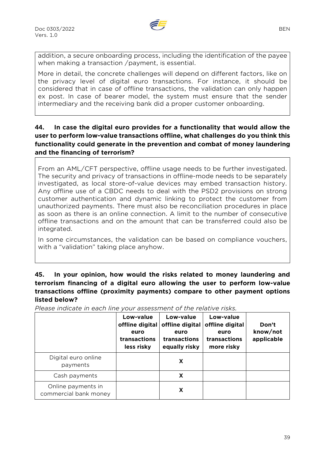

addition, a secure onboarding process, including the identification of the payee when making a transaction /payment, is essential.

More in detail, the concrete challenges will depend on different factors, like on the privacy level of digital euro transactions. For instance, it should be considered that in case of offline transactions, the validation can only happen ex post. In case of bearer model, the system must ensure that the sender intermediary and the receiving bank did a proper customer onboarding.

#### **44. In case the digital euro provides for a functionality that would allow the user to perform low-value transactions offline, what challenges do you think this functionality could generate in the prevention and combat of money laundering and the financing of terrorism?**

From an AML/CFT perspective, offline usage needs to be further investigated. The security and privacy of transactions in offline-mode needs to be separately investigated, as local store-of-value devices may embed transaction history. Any offline use of a CBDC needs to deal with the PSD2 provisions on strong customer authentication and dynamic linking to protect the customer from unauthorized payments. There must also be reconciliation procedures in place as soon as there is an online connection. A limit to the number of consecutive offline transactions and on the amount that can be transferred could also be integrated.

In some circumstances, the validation can be based on compliance vouchers, with a "validation" taking place anyhow.

# **45. In your opinion, how would the risks related to money laundering and terrorism financing of a digital euro allowing the user to perform low-value transactions offline (proximity payments) compare to other payment options listed below?**

*Please indicate in each line your assessment of the relative risks.* 

|                                             | Low-value<br>offline digital<br>euro<br>transactions<br>less risky | Low-value<br>offline digital<br>euro<br>transactions<br>equally risky | Low-value<br>offline digital<br>euro<br>transactions<br>more risky | Don't<br>know/not<br>applicable |
|---------------------------------------------|--------------------------------------------------------------------|-----------------------------------------------------------------------|--------------------------------------------------------------------|---------------------------------|
| Digital euro online<br>payments             |                                                                    | X                                                                     |                                                                    |                                 |
| Cash payments                               |                                                                    | X                                                                     |                                                                    |                                 |
| Online payments in<br>commercial bank money |                                                                    | X                                                                     |                                                                    |                                 |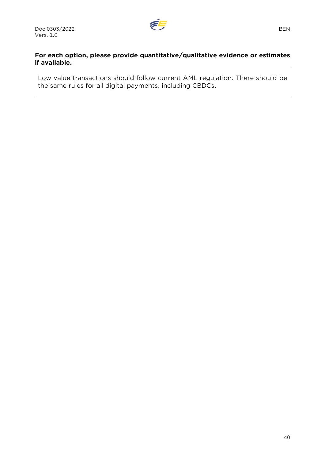

# **For each option, please provide quantitative/qualitative evidence or estimates if available.**

Low value transactions should follow current AML regulation. There should be the same rules for all digital payments, including CBDCs.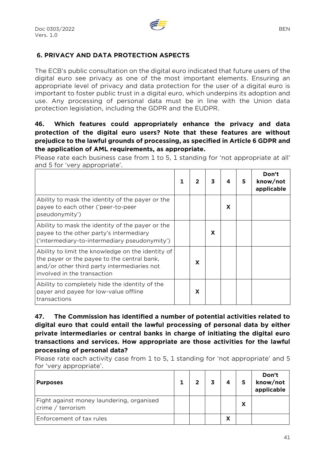

# **6. PRIVACY AND DATA PROTECTION ASPECTS**

The ECB's public consultation on the digital euro indicated that future users of the digital euro see privacy as one of the most important elements. Ensuring an appropriate level of privacy and data protection for the user of a digital euro is important to foster public trust in a digital euro, which underpins its adoption and use. Any processing of personal data must be in line with the Union data protection legislation, including the GDPR and the [EUDPR.](https://eur-lex.europa.eu/legal-content/EN/TXT/?uri=CELEX:32018R1725)

## **46. Which features could appropriately enhance the privacy and data protection of the digital euro users? Note that these features are without prejudice to the lawful grounds of processing, as specified in Article 6 GDPR and the application of AML requirements, as appropriate.**

Please rate each business case from 1 to 5, 1 standing for 'not appropriate at all' and 5 for 'very appropriate'.

|                                                                                                                                                                                |   | 3 | 4 | 5 | Don't<br>know/not<br>applicable |
|--------------------------------------------------------------------------------------------------------------------------------------------------------------------------------|---|---|---|---|---------------------------------|
| Ability to mask the identity of the payer or the<br>payee to each other ('peer-to-peer<br>pseudonymity')                                                                       |   |   | X |   |                                 |
| Ability to mask the identity of the payer or the<br>payee to the other party's intermediary<br>('intermediary-to-intermediary pseudonymity')                                   |   | X |   |   |                                 |
| Ability to limit the knowledge on the identity of<br>the payer or the payee to the central bank,<br>and/or other third party intermediaries not<br>involved in the transaction | X |   |   |   |                                 |
| Ability to completely hide the identity of the<br>payer and payee for low-value offline<br>transactions                                                                        | x |   |   |   |                                 |

**47. The Commission has identified a number of potential activities related to digital euro that could entail the lawful processing of personal data by either private intermediaries or central banks in charge of initiating the digital euro transactions and services. How appropriate are those activities for the lawful processing of personal data?** 

Please rate each activity case from 1 to 5, 1 standing for 'not appropriate' and 5 for 'very appropriate'.

| <b>Purposes</b>                                                | כי | 4 |   | Don't<br>know/not<br>applicable |
|----------------------------------------------------------------|----|---|---|---------------------------------|
| Fight against money laundering, organised<br>crime / terrorism |    |   | χ |                                 |
| Enforcement of tax rules                                       |    | χ |   |                                 |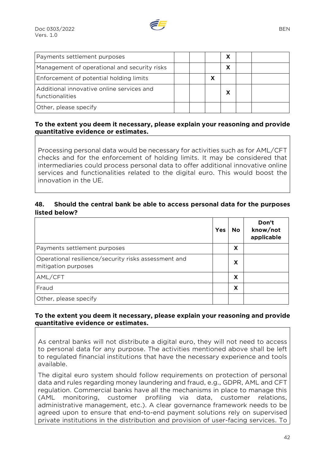

| Payments settlement purposes                                 |  |   | χ |  |
|--------------------------------------------------------------|--|---|---|--|
| Management of operational and security risks                 |  |   | χ |  |
| Enforcement of potential holding limits                      |  | X |   |  |
| Additional innovative online services and<br>functionalities |  |   | Х |  |
| Other, please specify                                        |  |   |   |  |

#### **To the extent you deem it necessary, please explain your reasoning and provide quantitative evidence or estimates.**

Processing personal data would be necessary for activities such as for AML/CFT checks and for the enforcement of holding limits. It may be considered that intermediaries could process personal data to offer additional innovative online services and functionalities related to the digital euro. This would boost the innovation in the UE.

#### **48. Should the central bank be able to access personal data for the purposes listed below?**

|                                                                             | <b>Yes</b> | No | Don't<br>know/not<br>applicable |
|-----------------------------------------------------------------------------|------------|----|---------------------------------|
| Payments settlement purposes                                                |            | X  |                                 |
| Operational resilience/security risks assessment and<br>mitigation purposes |            | x  |                                 |
| AML/CFT                                                                     |            | x  |                                 |
| Fraud                                                                       |            | x  |                                 |
| Other, please specify                                                       |            |    |                                 |

#### **To the extent you deem it necessary, please explain your reasoning and provide quantitative evidence or estimates.**

As central banks will not distribute a digital euro, they will not need to access to personal data for any purpose. The activities mentioned above shall be left to regulated financial institutions that have the necessary experience and tools available.

The digital euro system should follow requirements on protection of personal data and rules regarding money laundering and fraud, e.g., GDPR, AML and CFT regulation. Commercial banks have all the mechanisms in place to manage this (AML monitoring, customer profiling via data, customer relations, administrative management, etc.). A clear governance framework needs to be agreed upon to ensure that end-to-end payment solutions rely on supervised private institutions in the distribution and provision of user-facing services. To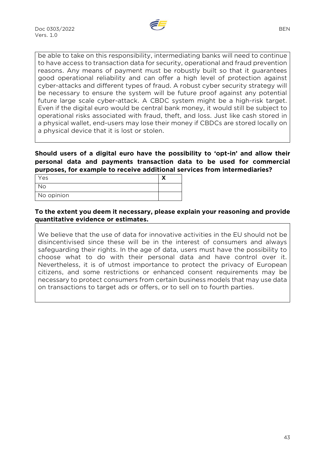

be able to take on this responsibility, intermediating banks will need to continue to have access to transaction data for security, operational and fraud prevention reasons. Any means of payment must be robustly built so that it guarantees good operational reliability and can offer a high level of protection against cyber-attacks and different types of fraud. A robust cyber security strategy will be necessary to ensure the system will be future proof against any potential future large scale cyber-attack. A CBDC system might be a high-risk target. Even if the digital euro would be central bank money, it would still be subject to operational risks associated with fraud, theft, and loss. Just like cash stored in a physical wallet, end-users may lose their money if CBDCs are stored locally on a physical device that it is lost or stolen.

**Should users of a digital euro have the possibility to 'opt-in' and allow their personal data and payments transaction data to be used for commercial purposes, for example to receive additional services from intermediaries?** 

| Yes        |  |
|------------|--|
| No.        |  |
| No opinion |  |

#### **To the extent you deem it necessary, please explain your reasoning and provide quantitative evidence or estimates.**

We believe that the use of data for innovative activities in the EU should not be disincentivised since these will be in the interest of consumers and always safeguarding their rights. In the age of data, users must have the possibility to choose what to do with their personal data and have control over it. Nevertheless, it is of utmost importance to protect the privacy of European citizens, and some restrictions or enhanced consent requirements may be necessary to protect consumers from certain business models that may use data on transactions to target ads or offers, or to sell on to fourth parties.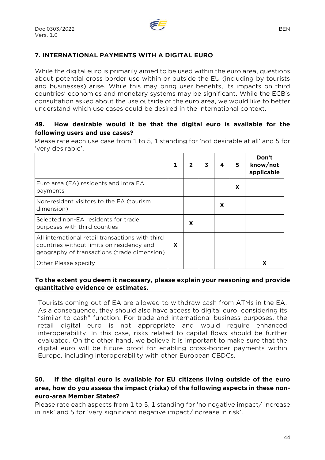

# **7. INTERNATIONAL PAYMENTS WITH A DIGITAL EURO**

While the digital euro is primarily aimed to be used within the euro area, questions about potential cross border use within or outside the EU (including by tourists and businesses) arise. While this may bring user benefits, its impacts on third countries' economies and monetary systems may be significant. While the ECB's consultation asked about the use outside of the euro area, we would like to better understand which use cases could be desired in the international context.

#### **49. How desirable would it be that the digital euro is available for the following users and use cases?**

Please rate each use case from 1 to 5, 1 standing for 'not desirable at all' and 5 for 'very desirable'.

|                                                                                                                                              |   |   | 3 | 4 | 5 | Don't<br>know/not<br>applicable |
|----------------------------------------------------------------------------------------------------------------------------------------------|---|---|---|---|---|---------------------------------|
| Euro area (EA) residents and intra EA<br>payments                                                                                            |   |   |   |   | X |                                 |
| Non-resident visitors to the EA (tourism<br>dimension)                                                                                       |   |   |   | X |   |                                 |
| Selected non-EA residents for trade<br>purposes with third counties                                                                          |   | X |   |   |   |                                 |
| All international retail transactions with third<br>countries without limits on residency and<br>geography of transactions (trade dimension) | X |   |   |   |   |                                 |
| Other Please specify                                                                                                                         |   |   |   |   |   |                                 |

#### **To the extent you deem it necessary, please explain your reasoning and provide quantitative evidence or estimates.**

Tourists coming out of EA are allowed to withdraw cash from ATMs in the EA. As a consequence, they should also have access to digital euro, considering its "similar to cash" function. For trade and international business purposes, the retail digital euro is not appropriate and would require enhanced interoperability. In this case, risks related to capital flows should be further evaluated. On the other hand, we believe it is important to make sure that the digital euro will be future proof for enabling cross-border payments within Europe, including interoperability with other European CBDCs.

# **50. If the digital euro is available for EU citizens living outside of the euro area, how do you assess the impact (risks) of the following aspects in these noneuro-area Member States?**

Please rate each aspects from 1 to 5, 1 standing for 'no negative impact/ increase in risk' and 5 for 'very significant negative impact/increase in risk'.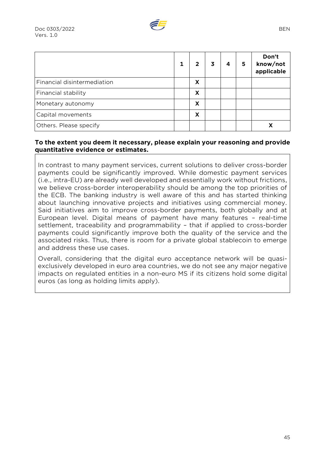|                             |   | 3 | 4 | 5 | Don't<br>know/not<br>applicable |
|-----------------------------|---|---|---|---|---------------------------------|
| Financial disintermediation | X |   |   |   |                                 |
| Financial stability         | X |   |   |   |                                 |
| Monetary autonomy           | X |   |   |   |                                 |
| Capital movements           | X |   |   |   |                                 |
| Others. Please specify      |   |   |   |   |                                 |

#### **To the extent you deem it necessary, please explain your reasoning and provide quantitative evidence or estimates.**

In contrast to many payment services, current solutions to deliver cross-border payments could be significantly improved. While domestic payment services (i.e., intra-EU) are already well developed and essentially work without frictions, we believe cross-border interoperability should be among the top priorities of the ECB. The banking industry is well aware of this and has started thinking about launching innovative projects and initiatives using commercial money. Said initiatives aim to improve cross-border payments, both globally and at European level. Digital means of payment have many features – real-time settlement, traceability and programmability – that if applied to cross-border payments could significantly improve both the quality of the service and the associated risks. Thus, there is room for a private global stablecoin to emerge and address these use cases.

Overall, considering that the digital euro acceptance network will be quasiexclusively developed in euro area countries, we do not see any major negative impacts on regulated entities in a non-euro MS if its citizens hold some digital euros (as long as holding limits apply).